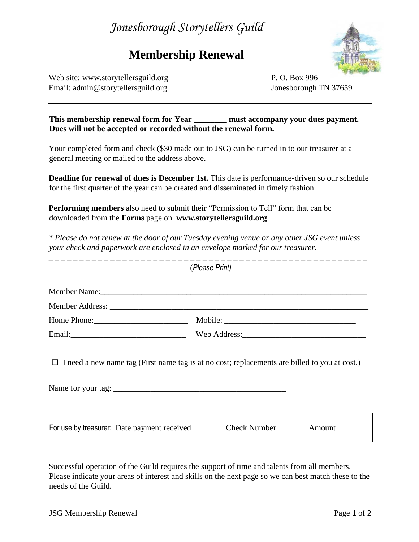## *Jonesborough Storytellers Guild*

## **Membership Renewal**



Web site: [www.storytellersguild.org](http://www.storytellersguild.org/) P. O. Box 996 Email: admin@storytellersguild.org Jonesborough TN 37659

| This membership renewal form for Year                           | must accompany your dues payment. |
|-----------------------------------------------------------------|-----------------------------------|
| Dues will not be accepted or recorded without the renewal form. |                                   |

Your completed form and check (\$30 made out to JSG) can be turned in to our treasurer at a general meeting or mailed to the address above.

**Deadline for renewal of dues is December 1st.** This date is performance-driven so our schedule for the first quarter of the year can be created and disseminated in timely fashion.

**Performing members** also need to submit their "Permission to Tell" form that can be downloaded from the **Forms** page on **[www.storytellersguild.org](http://www.storytellersguild.org/)**

*\* Please do not renew at the door of our Tuesday evening venue or any other JSG event unless your check and paperwork are enclosed in an envelope marked for our treasurer.* 

| (Please Print)                                                                                                             |                                                                                              |  |
|----------------------------------------------------------------------------------------------------------------------------|----------------------------------------------------------------------------------------------|--|
|                                                                                                                            |                                                                                              |  |
|                                                                                                                            |                                                                                              |  |
|                                                                                                                            |                                                                                              |  |
| Email: 2008. 2008. 2010. 2010. 2010. 2010. 2010. 2010. 2010. 2011. 2012. 2012. 2014. 2014. 2014. 2014. 2014. 2             |                                                                                              |  |
| $\Box$ I need a new name tag (First name tag is at no cost; replacements are billed to you at cost.)<br>Name for your tag: |                                                                                              |  |
|                                                                                                                            | For use by treasurer: Date payment received___________ Check Number __________ Amount ______ |  |

Successful operation of the Guild requires the support of time and talents from all members. Please indicate your areas of interest and skills on the next page so we can best match these to the needs of the Guild.